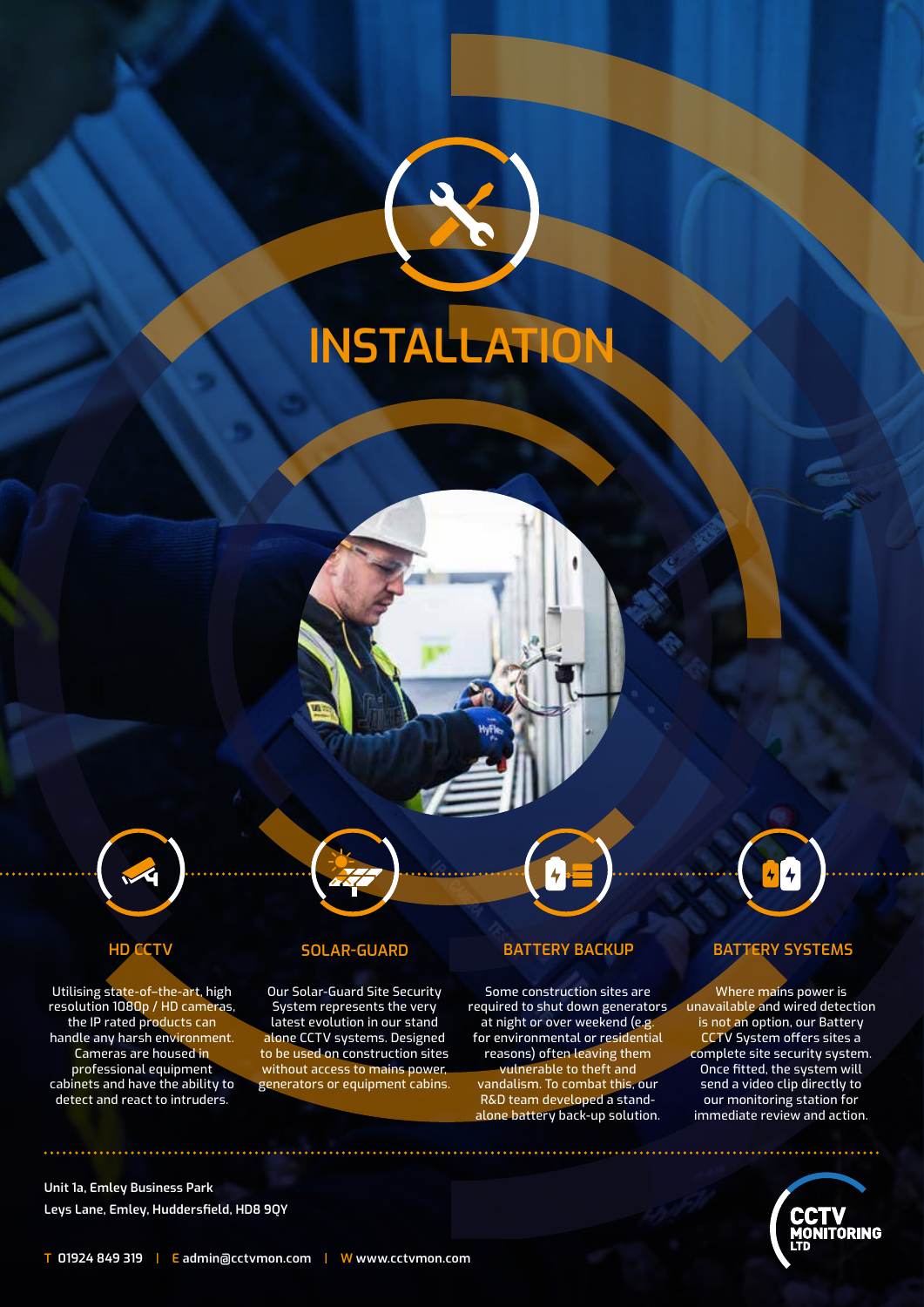



Utilising state-of–the-art, high resolution 1080p / HD cameras, the IP rated products can handle any harsh environment. Cameras are housed in professional equipment cabinets and have the ability to detect and react to intruders.

**\*\*\*\*\*\*\*\*\*\*\*\*\*\*\*\*\*\*** 

Our Solar-Guard Site Security System represents the very latest evolution in our stand alone CCTV systems. Designed to be used on construction sites without access to mains power, generators or equipment cabins.

# **HD CCTV SOLAR-GUARD BATTERY BACKUP BATTERY SYSTEMS**

Some construction sites are required to shut down generators at night or over weekend (e.g. for environmental or residential reasons) often leaving them vulnerable to theft and vandalism. To combat this, our R&D team developed a standalone battery back-up solution.



Where mains power is unavailable and wired detection is not an option, our Battery CCTV System offers sites a complete site security system. Once fitted, the system will send a video clip directly to our monitoring station for immediate review and action.



**Unit 1a, Emley Business Park Leys Lane, Emley, Huddersfield, HD8 9QY**